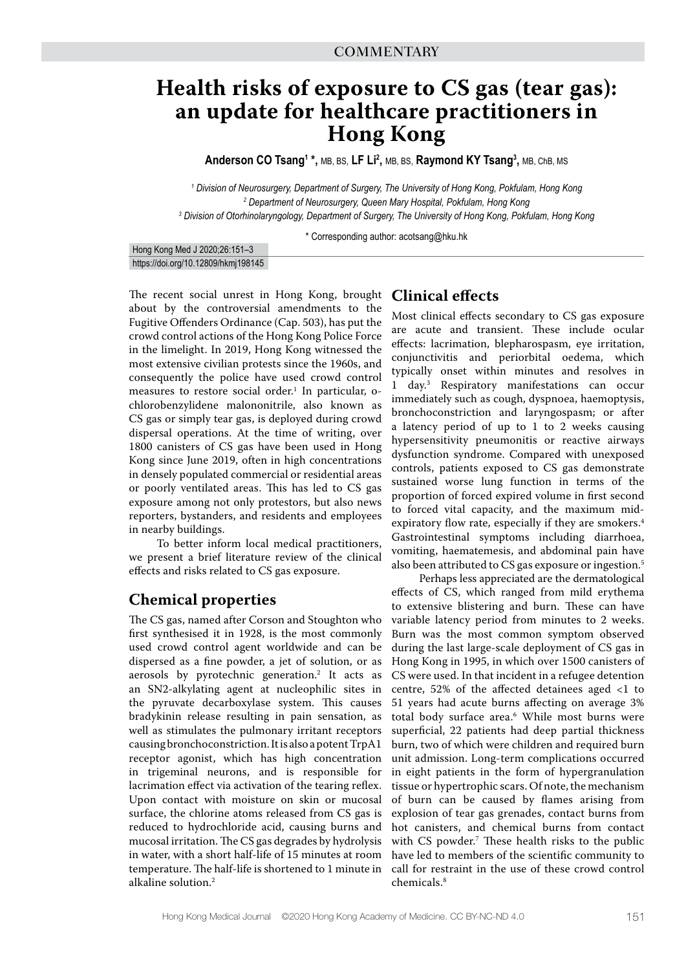## **Health risks of exposure to CS gas (tear gas): an update for healthcare practitioners in Hong Kong**

**Anderson CO Tsang<sup>1</sup> \*, MB, BS, LF Li<sup>2</sup>, MB, BS, Raymond KY Tsang<sup>3</sup>, MB, ChB, MS** 

*1 Division of Neurosurgery, Department of Surgery, The University of Hong Kong, Pokfulam, Hong Kong 2 Department of Neurosurgery, Queen Mary Hospital, Pokfulam, Hong Kong 3 Division of Otorhinolaryngology, Department of Surgery, The University of Hong Kong, Pokfulam, Hong Kong*

\* Corresponding author: acotsang@hku.hk

Hong Kong Med J 2020;26:151–3 https://doi.org/10.12809/hkmj198145

The recent social unrest in Hong Kong, brought about by the controversial amendments to the Fugitive Offenders Ordinance (Cap. 503), has put the crowd control actions of the Hong Kong Police Force in the limelight. In 2019, Hong Kong witnessed the most extensive civilian protests since the 1960s, and consequently the police have used crowd control measures to restore social order.<sup>1</sup> In particular, ochlorobenzylidene malononitrile, also known as CS gas or simply tear gas, is deployed during crowd dispersal operations. At the time of writing, over 1800 canisters of CS gas have been used in Hong Kong since June 2019, often in high concentrations in densely populated commercial or residential areas or poorly ventilated areas. This has led to CS gas exposure among not only protestors, but also news reporters, bystanders, and residents and employees in nearby buildings.

To better inform local medical practitioners, we present a brief literature review of the clinical effects and risks related to CS gas exposure.

### **Chemical properties**

The CS gas, named after Corson and Stoughton who first synthesised it in 1928, is the most commonly used crowd control agent worldwide and can be dispersed as a fine powder, a jet of solution, or as aerosols by pyrotechnic generation.2 It acts as an SN2-alkylating agent at nucleophilic sites in the pyruvate decarboxylase system. This causes bradykinin release resulting in pain sensation, as well as stimulates the pulmonary irritant receptors causing bronchoconstriction. It is also a potent TrpA1 receptor agonist, which has high concentration in trigeminal neurons, and is responsible for lacrimation effect via activation of the tearing reflex. Upon contact with moisture on skin or mucosal surface, the chlorine atoms released from CS gas is reduced to hydrochloride acid, causing burns and mucosal irritation. The CS gas degrades by hydrolysis in water, with a short half-life of 15 minutes at room temperature. The half-life is shortened to 1 minute in alkaline solution.2

## **Clinical effects**

Most clinical effects secondary to CS gas exposure are acute and transient. These include ocular effects: lacrimation, blepharospasm, eye irritation, conjunctivitis and periorbital oedema, which typically onset within minutes and resolves in 1 day.3 Respiratory manifestations can occur immediately such as cough, dyspnoea, haemoptysis, bronchoconstriction and laryngospasm; or after a latency period of up to 1 to 2 weeks causing hypersensitivity pneumonitis or reactive airways dysfunction syndrome. Compared with unexposed controls, patients exposed to CS gas demonstrate sustained worse lung function in terms of the proportion of forced expired volume in first second to forced vital capacity, and the maximum midexpiratory flow rate, especially if they are smokers.<sup>4</sup> Gastrointestinal symptoms including diarrhoea, vomiting, haematemesis, and abdominal pain have also been attributed to CS gas exposure or ingestion.<sup>5</sup>

Perhaps less appreciated are the dermatological effects of CS, which ranged from mild erythema to extensive blistering and burn. These can have variable latency period from minutes to 2 weeks. Burn was the most common symptom observed during the last large-scale deployment of CS gas in Hong Kong in 1995, in which over 1500 canisters of CS were used. In that incident in a refugee detention centre, 52% of the affected detainees aged <1 to 51 years had acute burns affecting on average 3% total body surface area.6 While most burns were superficial, 22 patients had deep partial thickness burn, two of which were children and required burn unit admission. Long-term complications occurred in eight patients in the form of hypergranulation tissue or hypertrophic scars. Of note, the mechanism of burn can be caused by flames arising from explosion of tear gas grenades, contact burns from hot canisters, and chemical burns from contact with CS powder.<sup>7</sup> These health risks to the public have led to members of the scientific community to call for restraint in the use of these crowd control chemicals.8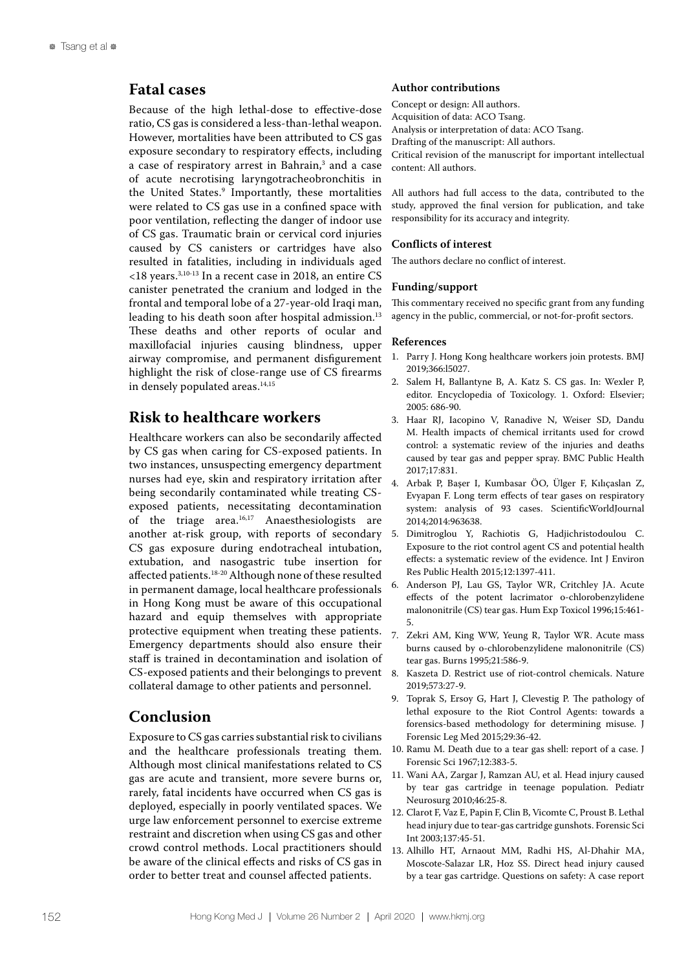## **Fatal cases**

Because of the high lethal-dose to effective-dose ratio, CS gas is considered a less-than-lethal weapon. However, mortalities have been attributed to CS gas exposure secondary to respiratory effects, including a case of respiratory arrest in Bahrain,<sup>3</sup> and a case of acute necrotising laryngotracheobronchitis in the United States.9 Importantly, these mortalities were related to CS gas use in a confined space with poor ventilation, reflecting the danger of indoor use of CS gas. Traumatic brain or cervical cord injuries caused by CS canisters or cartridges have also resulted in fatalities, including in individuals aged <18 years.3,10-13 In a recent case in 2018, an entire CS canister penetrated the cranium and lodged in the frontal and temporal lobe of a 27-year-old Iraqi man, leading to his death soon after hospital admission.<sup>13</sup> These deaths and other reports of ocular and maxillofacial injuries causing blindness, upper airway compromise, and permanent disfigurement highlight the risk of close-range use of CS firearms in densely populated areas.<sup>14,15</sup>

## **Risk to healthcare workers**

Healthcare workers can also be secondarily affected by CS gas when caring for CS-exposed patients. In two instances, unsuspecting emergency department nurses had eye, skin and respiratory irritation after being secondarily contaminated while treating CSexposed patients, necessitating decontamination of the triage area.<sup>16,17</sup> Anaesthesiologists are another at-risk group, with reports of secondary CS gas exposure during endotracheal intubation, extubation, and nasogastric tube insertion for affected patients. $^{\rm 18\text{-}20}$  Although none of these resulted in permanent damage, local healthcare professionals in Hong Kong must be aware of this occupational hazard and equip themselves with appropriate protective equipment when treating these patients. Emergency departments should also ensure their staff is trained in decontamination and isolation of CS-exposed patients and their belongings to prevent collateral damage to other patients and personnel.

## **Conclusion**

Exposure to CS gas carries substantial risk to civilians and the healthcare professionals treating them. Although most clinical manifestations related to CS gas are acute and transient, more severe burns or, rarely, fatal incidents have occurred when CS gas is deployed, especially in poorly ventilated spaces. We urge law enforcement personnel to exercise extreme restraint and discretion when using CS gas and other crowd control methods. Local practitioners should be aware of the clinical effects and risks of CS gas in order to better treat and counsel affected patients.

#### **Author contributions**

Concept or design: All authors. Acquisition of data: ACO Tsang. Analysis or interpretation of data: ACO Tsang. Drafting of the manuscript: All authors. Critical revision of the manuscript for important intellectual content: All authors.

All authors had full access to the data, contributed to the study, approved the final version for publication, and take responsibility for its accuracy and integrity.

#### **Conflicts of interest**

The authors declare no conflict of interest.

#### **Funding/support**

This commentary received no specific grant from any funding agency in the public, commercial, or not-for-profit sectors.

#### **References**

- 1. Parry J. Hong Kong healthcare workers join protests. BMJ 2019;366:l5027.
- Salem H, Ballantyne B, A. Katz S. CS gas. In: Wexler P, editor. Encyclopedia of Toxicology. 1. Oxford: Elsevier; 2005: 686-90.
- 3. Haar RJ, Iacopino V, Ranadive N, Weiser SD, Dandu M. Health impacts of chemical irritants used for crowd control: a systematic review of the injuries and deaths caused by tear gas and pepper spray. BMC Public Health 2017;17:831.
- 4. Arbak P, Başer I, Kumbasar ÖO, Ülger F, Kılıçaslan Z, Evyapan F. Long term effects of tear gases on respiratory system: analysis of 93 cases. ScientificWorldJournal 2014;2014:963638.
- 5. Dimitroglou Y, Rachiotis G, Hadjichristodoulou C. Exposure to the riot control agent CS and potential health effects: a systematic review of the evidence. Int J Environ Res Public Health 2015;12:1397-411.
- 6. Anderson PJ, Lau GS, Taylor WR, Critchley JA. Acute effects of the potent lacrimator o-chlorobenzylidene malononitrile (CS) tear gas. Hum Exp Toxicol 1996;15:461- 5.
- 7. Zekri AM, King WW, Yeung R, Taylor WR. Acute mass burns caused by o-chlorobenzylidene malononitrile (CS) tear gas. Burns 1995;21:586-9.
- 8. Kaszeta D. Restrict use of riot-control chemicals. Nature 2019;573:27-9.
- 9. Toprak S, Ersoy G, Hart J, Clevestig P. The pathology of lethal exposure to the Riot Control Agents: towards a forensics-based methodology for determining misuse. J Forensic Leg Med 2015;29:36-42.
- 10. Ramu M. Death due to a tear gas shell: report of a case. J Forensic Sci 1967;12:383-5.
- 11. Wani AA, Zargar J, Ramzan AU, et al. Head injury caused by tear gas cartridge in teenage population. Pediatr Neurosurg 2010;46:25-8.
- 12. Clarot F, Vaz E, Papin F, Clin B, Vicomte C, Proust B. Lethal head injury due to tear-gas cartridge gunshots. Forensic Sci Int 2003;137:45-51.
- 13. Alhillo HT, Arnaout MM, Radhi HS, Al-Dhahir MA, Moscote-Salazar LR, Hoz SS. Direct head injury caused by a tear gas cartridge. Questions on safety: A case report